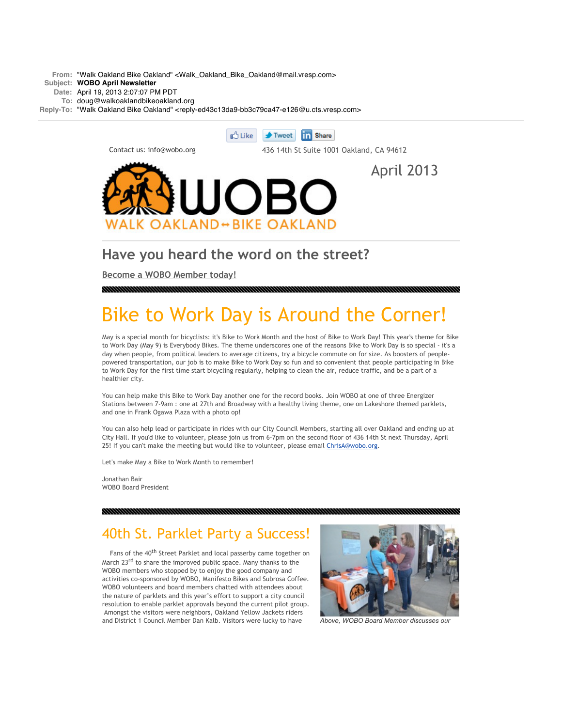**From:** "Walk Oakland Bike Oakland" <Walk\_Oakland\_Bike\_Oakland@mail.vresp.com>

#### **Subject: WOBO April Newsletter**

**Date:** April 19, 2013 2:07:07 PM PDT

**To:** doug@walkoaklandbikeoakland.org

Reply-To: "Walk Oakland Bike Oakland" <reply-ed43c13da9-bb3c79ca47-e126@u.cts.vresp.com>



#### **Have you heard the word on the street?**

**[Become a WOBO Member today!](http://cts.vresp.com/c/?WalkOaklandBikeOakla/ed43c13da9/bb3c79ca47/a6e10166b1)**

# Bike to Work Day is Around the Corner!

May is a special month for bicyclists: it's Bike to Work Month and the host of Bike to Work Day! This year's theme for Bike to Work Day (May 9) is Everybody Bikes. The theme underscores one of the reasons Bike to Work Day is so special - it's a day when people, from political leaders to average citizens, try a bicycle commute on for size. As boosters of peoplepowered transportation, our job is to make Bike to Work Day so fun and so convenient that people participating in Bike to Work Day for the first time start bicycling regularly, helping to clean the air, reduce traffic, and be a part of a healthier city.

You can help make this Bike to Work Day another one for the record books. Join WOBO at one of three Energizer Stations between 7-9am : one at 27th and Broadway with a healthy living theme, one on Lakeshore themed parklets, and one in Frank Ogawa Plaza with a photo op!

You can also help lead or participate in rides with our City Council Members, starting all over Oakland and ending up at City Hall. If you'd like to volunteer, please join us from 6-7pm on the second floor of 436 14th St next Thursday, April 25! If you can't make the meeting but would like to volunteer, please email [ChrisA@wobo.org.](mailto:ChrisA@wobo.org)

Let's make May a Bike to Work Month to remember!

Jonathan Bair WOBO Board President

## 40th St. Parklet Party a Success!

Fans of the 40<sup>th</sup> Street Parklet and local passerby came together on March 23<sup>rd</sup> to share the improved public space. Many thanks to the WOBO members who stopped by to enjoy the good company and activities co-sponsored by WOBO, Manifesto Bikes and Subrosa Coffee. WOBO volunteers and board members chatted with attendees about the nature of parklets and this year's effort to support a city council resolution to enable parklet approvals beyond the current pilot group. Amongst the visitors were neighbors, Oakland Yellow Jackets riders and District 1 Council Member Dan Kalb. Visitors were lucky to have *Above, WOBO Board Member discusses our*

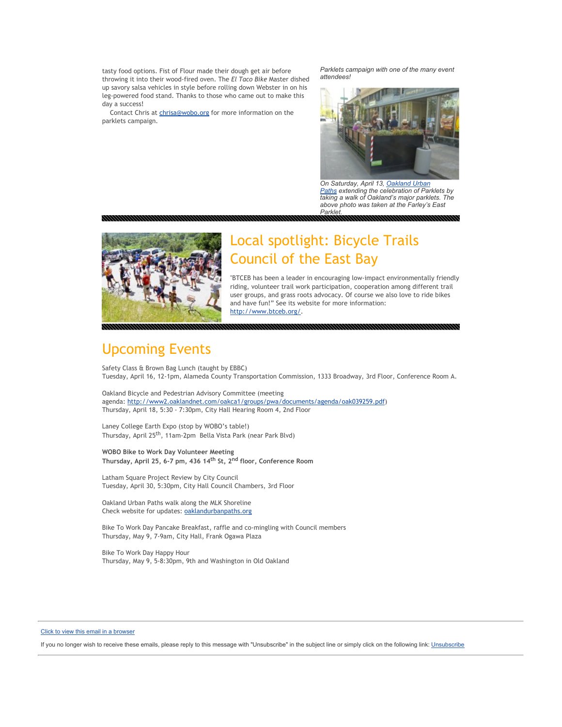tasty food options. Fist of Flour made their dough get air before throwing it into their wood-fired oven. The *El Taco Bike* Master dished up savory salsa vehicles in style before rolling down Webster in on his leg-powered food stand. Thanks to those who came out to make this day a success!

Contact Chris at [chrisa@wobo.org](mailto:chrisa@wobo.org) for more information on the parklets campaign.

*Parklets campaign with one of the many event attendees!*



*On Saturday, April 13, Oakland Urban [Paths extending the celebration of Park](http://cts.vresp.com/c/?WalkOaklandBikeOakla/ed43c13da9/bb3c79ca47/682e3c0cd1)lets by taking a walk of Oakland's major parklets. The above photo was taken at the Farley's East Parklet.*



## Local spotlight: Bicycle Trails Council of the East Bay

"BTCEB has been a leader in encouraging low-impact environmentally friendly riding, volunteer trail work participation, cooperation among different trail user groups, and grass roots advocacy. Of course we also love to ride bikes and have fun!" See its website for more information: [http://www.btceb.org/.](http://cts.vresp.com/c/?WalkOaklandBikeOakla/ed43c13da9/bb3c79ca47/e5b77e662f)

## Upcoming Events

Safety Class & Brown Bag Lunch (taught by EBBC) Tuesday, April 16, 12-1pm, Alameda County Transportation Commission, 1333 Broadway, 3rd Floor, Conference Room A.

Oakland Bicycle and Pedestrian Advisory Committee (meeting agenda: [http://www2.oaklandnet.com/oakca1/groups/pwa/documents/agenda/oak039259.pdf\)](http://cts.vresp.com/c/?WalkOaklandBikeOakla/ed43c13da9/bb3c79ca47/02d41deab6) Thursday, April 18, 5:30 - 7:30pm, City Hall Hearing Room 4, 2nd Floor

Laney College Earth Expo (stop by WOBO's table!) Thursday, April 25th, 11am-2pm Bella Vista Park (near Park Blvd)

**WOBO Bike to Work Day Volunteer Meeting Thursday, April 25, 6-7 pm, 436 14th St, 2nd floor, Conference Room**

Latham Square Project Review by City Council Tuesday, April 30, 5:30pm, City Hall Council Chambers, 3rd Floor

Oakland Urban Paths walk along the MLK Shoreline Check website for updates: [oaklandurbanpaths.org](http://cts.vresp.com/c/?WalkOaklandBikeOakla/ed43c13da9/bb3c79ca47/a1af93b47a)

Bike To Work Day Pancake Breakfast, raffle and co-mingling with Council members Thursday, May 9, 7-9am, City Hall, Frank Ogawa Plaza

Bike To Work Day Happy Hour Thursday, May 9, 5-8:30pm, 9th and Washington in Old Oakland

#### [Click to view this email in a browser](http://hosted.verticalresponse.com/1113927/ed43c13da9/520286913/bb3c79ca47/)

If you no longer wish to receive these emails, please reply to this message with "Unsubscribe" in the subject line or simply click on the following link: [Unsubscribe](http://cts.vresp.com/u?ed43c13da9/bb3c79ca47/mlpftw)